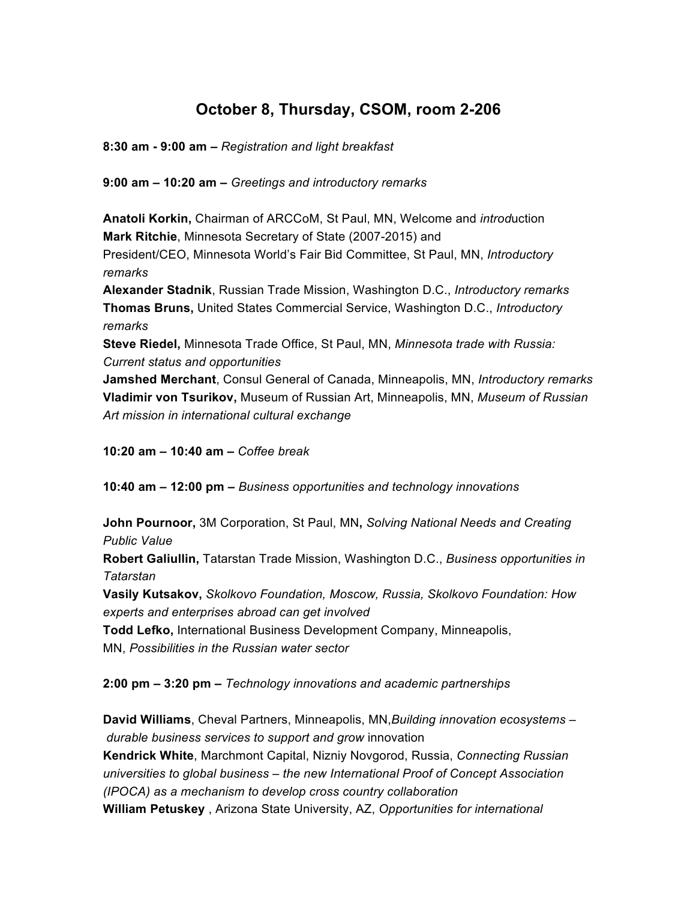# **October 8, Thursday, CSOM, room 2-206**

**8:30 am - 9:00 am –** *Registration and light breakfast*

**9:00 am – 10:20 am –** *Greetings and introductory remarks*

**Anatoli Korkin,** Chairman of ARCCoM, St Paul, MN, Welcome and *introd*uction **Mark Ritchie**, Minnesota Secretary of State (2007-2015) and President/CEO, Minnesota World's Fair Bid Committee, St Paul, MN, *Introductory remarks* **Alexander Stadnik**, Russian Trade Mission, Washington D.C., *Introductory remarks*

**Thomas Bruns,** United States Commercial Service, Washington D.C., *Introductory remarks*

**Steve Riedel,** Minnesota Trade Office, St Paul, MN, *Minnesota trade with Russia: Current status and opportunities*

**Jamshed Merchant**, Consul General of Canada, Minneapolis, MN, *Introductory remarks* **Vladimir von Tsurikov,** Museum of Russian Art, Minneapolis, MN, *Museum of Russian Art mission in international cultural exchange*

**10:20 am – 10:40 am –** *Coffee break*

**10:40 am – 12:00 pm –** *Business opportunities and technology innovations*

**John Pournoor,** 3M Corporation, St Paul, MN**,** *Solving National Needs and Creating Public Value*

**Robert Galiullin,** Tatarstan Trade Mission, Washington D.C., *Business opportunities in Tatarstan*

**Vasily Kutsakov,** *Skolkovo Foundation, Moscow, Russia, Skolkovo Foundation: How experts and enterprises abroad can get involved*

**Todd Lefko,** International Business Development Company, Minneapolis, MN, *Possibilities in the Russian water sector*

**2:00 pm – 3:20 pm –** *Technology innovations and academic partnerships*

**David Williams**, Cheval Partners, Minneapolis, MN,*Building innovation ecosystems – durable business services to support and grow* innovation **Kendrick White**, Marchmont Capital, Nizniy Novgorod, Russia, *Connecting Russian universities to global business – the new International Proof of Concept Association (IPOCA) as a mechanism to develop cross country collaboration* **William Petuskey** , Arizona State University, AZ, *Opportunities for international*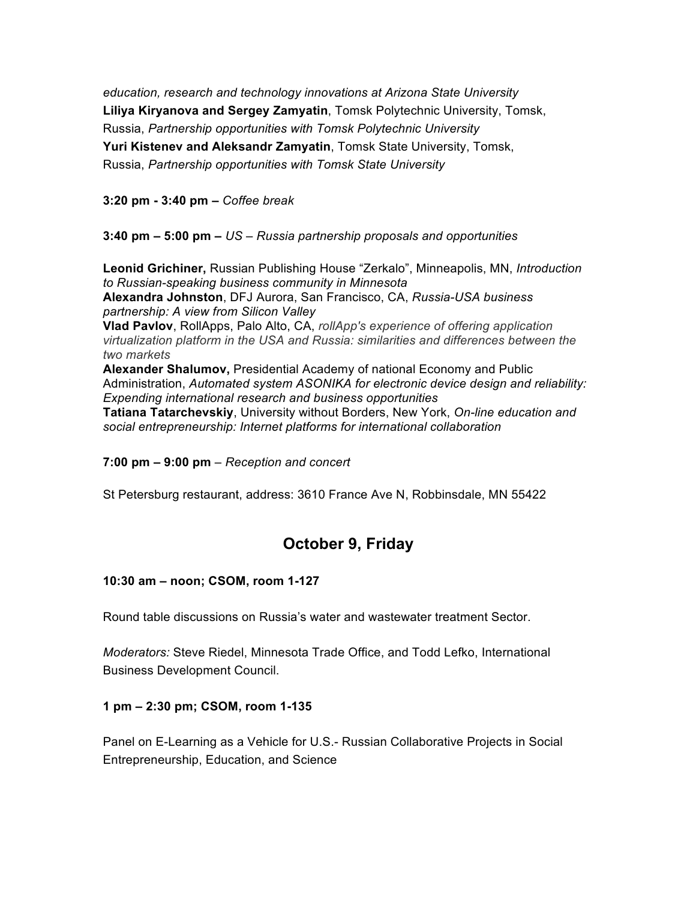*education, research and technology innovations at Arizona State University* **Liliya Kiryanova and Sergey Zamyatin**, Tomsk Polytechnic University, Tomsk, Russia, *Partnership opportunities with Tomsk Polytechnic University* **Yuri Kistenev and Aleksandr Zamyatin**, Tomsk State University, Tomsk, Russia, *Partnership opportunities with Tomsk State University*

**3:20 pm - 3:40 pm –** *Coffee break*

**3:40 pm – 5:00 pm –** *US – Russia partnership proposals and opportunities*

**Leonid Grichiner,** Russian Publishing House "Zerkalo", Minneapolis, MN, *Introduction to Russian-speaking business community in Minnesota* **Alexandra Johnston**, DFJ Aurora, San Francisco, CA, *Russia-USA business partnership: A view from Silicon Valley*

**Vlad Pavlov**, RollApps, Palo Alto, CA, *rollApp's experience of offering application virtualization platform in the USA and Russia: similarities and differences between the two markets*

**Alexander Shalumov,** Presidential Academy of national Economy and Public Administration, *Automated system ASONIKA for electronic device design and reliability: Expending international research and business opportunities*

**Tatiana Tatarchevskiy**, University without Borders, New York, *On-line education and social entrepreneurship: Internet platforms for international collaboration*

**7:00 pm – 9:00 pm** *– Reception and concert*

St Petersburg restaurant, address: 3610 France Ave N, Robbinsdale, MN 55422

## **October 9, Friday**

#### **10:30 am – noon; CSOM, room 1-127**

Round table discussions on Russia's water and wastewater treatment Sector.

*Moderators:* Steve Riedel, Minnesota Trade Office, and Todd Lefko, International Business Development Council.

#### **1 pm – 2:30 pm; CSOM, room 1-135**

Panel on E-Learning as a Vehicle for U.S.- Russian Collaborative Projects in Social Entrepreneurship, Education, and Science